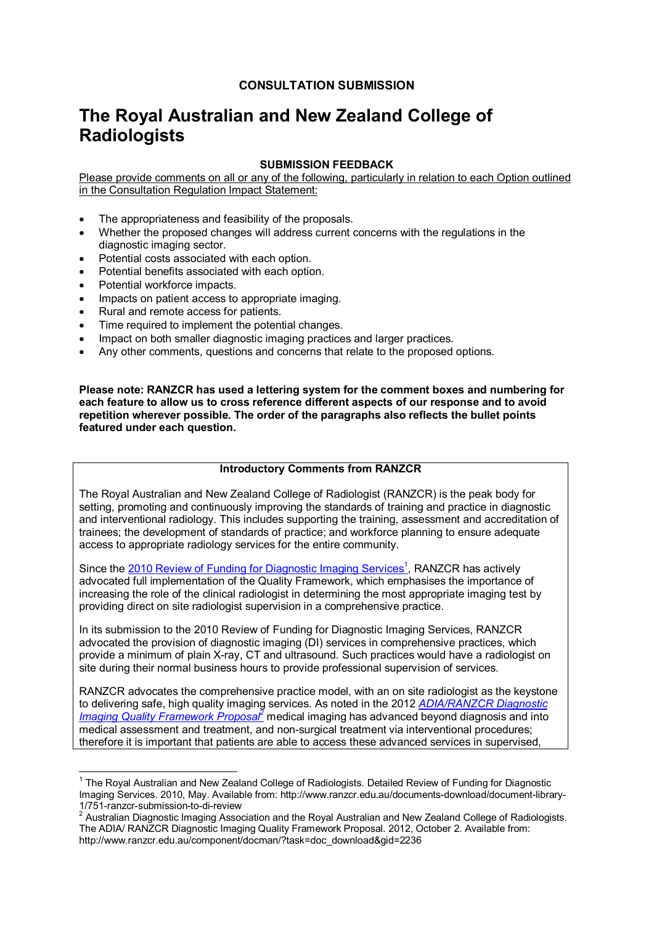## **CONSULTATION SUBMISSION**

# **The Royal Australian and New Zealand College of Radiologists**

## **SUBMISSION FEEDBACK**

Please provide comments on all or any of the following, particularly in relation to each Option outlined in the Consultation Regulation Impact Statement:

- The appropriateness and feasibility of the proposals.
- Whether the proposed changes will address current concerns with the regulations in the diagnostic imaging sector.
- Potential costs associated with each option.
- Potential benefits associated with each option.
- Potential workforce impacts.
- Impacts on patient access to appropriate imaging.
- Rural and remote access for patients.
- Time required to implement the potential changes.
- Impact on both smaller diagnostic imaging practices and larger practices.
- Any other comments, questions and concerns that relate to the proposed options.

**Please note: RANZCR has used a lettering system for the comment boxes and numbering for each feature to allow us to cross reference different aspects of our response and to avoid repetition wherever possible. The order of the paragraphs also reflects the bullet points featured under each question.** 

### **Introductory Comments from RANZCR**

The Royal Australian and New Zealand College of Radiologist (RANZCR) is the peak body for setting, promoting and continuously improving the standards of training and practice in diagnostic and interventional radiology. This includes supporting the training, assessment and accreditation of trainees; the development of standards of practice; and workforce planning to ensure adequate access to appropriate radiology services for the entire community.

Since the 2010 Review of Funding for Diagnostic Imaging Services<sup>1</sup>, RANZCR has actively advocated full implementation of the Quality Framework, which emphasises the importance of increasing the role of the clinical radiologist in determining the most appropriate imaging test by providing direct on site radiologist supervision in a comprehensive practice.

In its submission to the 2010 Review of Funding for Diagnostic Imaging Services, RANZCR advocated the provision of diagnostic imaging (DI) services in comprehensive practices, which provide a minimum of plain X-ray, CT and ultrasound. Such practices would have a radiologist on site during their normal business hours to provide professional supervision of services.

RANZCR advocates the comprehensive practice model, with an on site radiologist as the keystone to delivering safe, high quality imaging services. As noted in the 2012 *ADIA/RANZCR Diagnostic*  Imaging Quality Framework Proposal<sup>2</sup> medical imaging has advanced beyond diagnosis and into medical assessment and treatment, and non-surgical treatment via interventional procedures; therefore it is important that patients are able to access these advanced services in supervised,

 1 The Royal Australian and New Zealand College of Radiologists. Detailed Review of Funding for Diagnostic Imaging Services. 2010, May. Available from: http://www.ranzcr.edu.au/documents-download/document-library-1/751-ranzcr-submission-to-di-review

 $2$  Australian Diagnostic Imaging Association and the Royal Australian and New Zealand College of Radiologists. The ADIA/ RANZCR Diagnostic Imaging Quality Framework Proposal. 2012, October 2. Available from: http://www.ranzcr.edu.au/component/docman/?task=doc\_download&gid=2236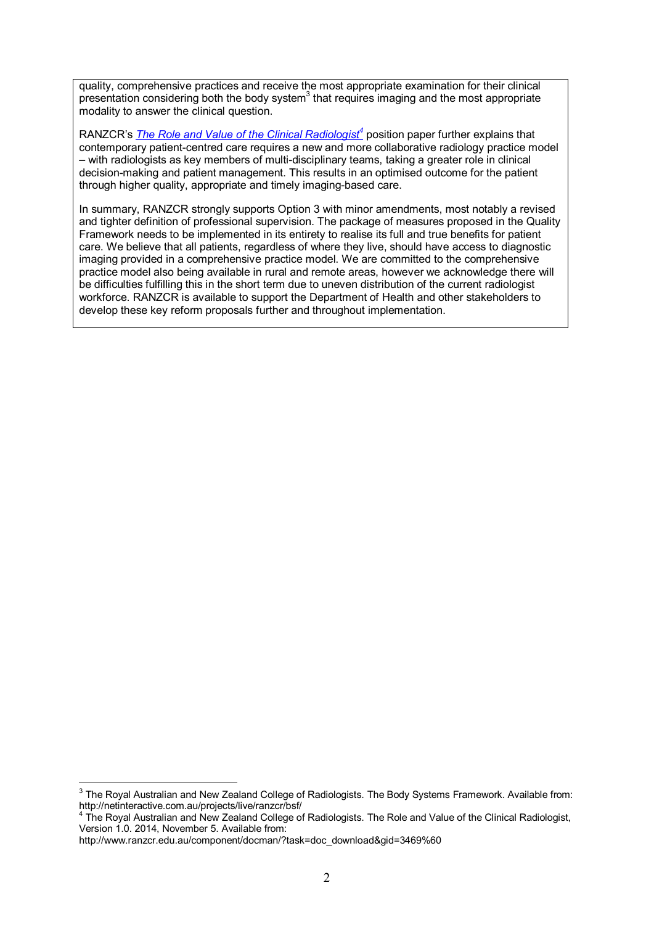quality, comprehensive practices and receive the most appropriate examination for their clinical presentation considering both the body system $3$  that requires imaging and the most appropriate modality to answer the clinical question.

RANZCR's *The Role and Value of the Clinical Radiologist<sup>4</sup>* position paper further explains that contemporary patient-centred care requires a new and more collaborative radiology practice model – with radiologists as key members of multi-disciplinary teams, taking a greater role in clinical decision-making and patient management. This results in an optimised outcome for the patient through higher quality, appropriate and timely imaging-based care.

In summary, RANZCR strongly supports Option 3 with minor amendments, most notably a revised and tighter definition of professional supervision. The package of measures proposed in the Quality Framework needs to be implemented in its entirety to realise its full and true benefits for patient care. We believe that all patients, regardless of where they live, should have access to diagnostic imaging provided in a comprehensive practice model. We are committed to the comprehensive practice model also being available in rural and remote areas, however we acknowledge there will be difficulties fulfilling this in the short term due to uneven distribution of the current radiologist workforce. RANZCR is available to support the Department of Health and other stakeholders to develop these key reform proposals further and throughout implementation.

 3 The Royal Australian and New Zealand College of Radiologists. The Body Systems Framework. Available from: http://netinteractive.com.au/projects/live/ranzcr/bsf/

<sup>&</sup>lt;sup>4</sup> The Royal Australian and New Zealand College of Radiologists. The Role and Value of the Clinical Radiologist, Version 1.0. 2014, November 5. Available from:

http://www.ranzcr.edu.au/component/docman/?task=doc\_download&gid=3469%60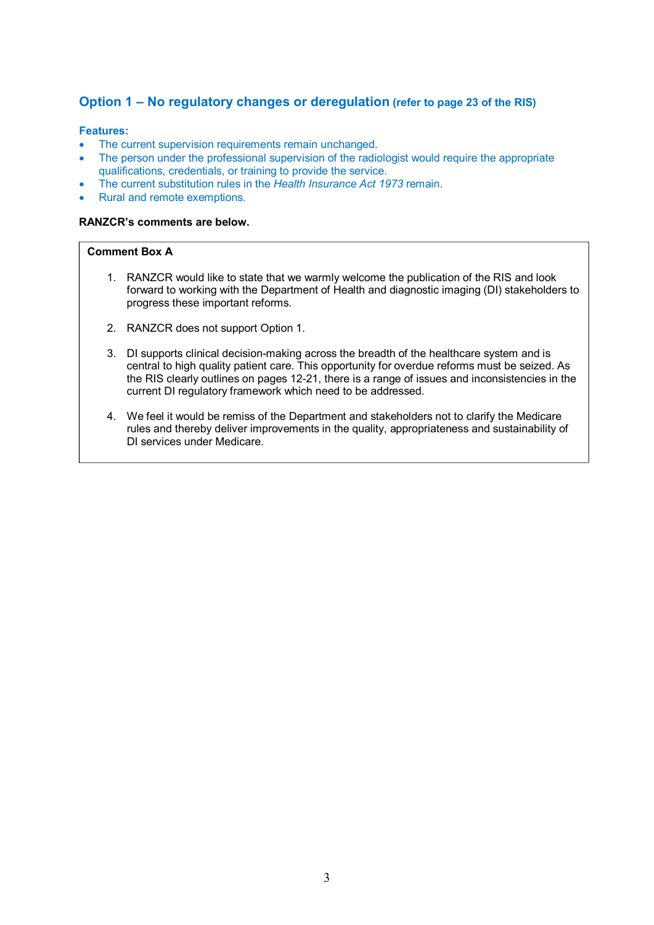## **Option 1 – No regulatory changes or deregulation (refer to page 23 of the RIS)**

#### **Features:**

- The current supervision requirements remain unchanged.
- The person under the professional supervision of the radiologist would require the appropriate qualifications, credentials, or training to provide the service.
- The current substitution rules in the *Health Insurance Act 1973* remain.
- Rural and remote exemptions.

#### **RANZCR's comments are below.**

### **Comment Box A**

- 1. RANZCR would like to state that we warmly welcome the publication of the RIS and look forward to working with the Department of Health and diagnostic imaging (DI) stakeholders to progress these important reforms.
- 2. RANZCR does not support Option 1.
- 3. DI supports clinical decision-making across the breadth of the healthcare system and is central to high quality patient care. This opportunity for overdue reforms must be seized. As the RIS clearly outlines on pages 12-21, there is a range of issues and inconsistencies in the current DI regulatory framework which need to be addressed.
- 4. We feel it would be remiss of the Department and stakeholders not to clarify the Medicare rules and thereby deliver improvements in the quality, appropriateness and sustainability of DI services under Medicare.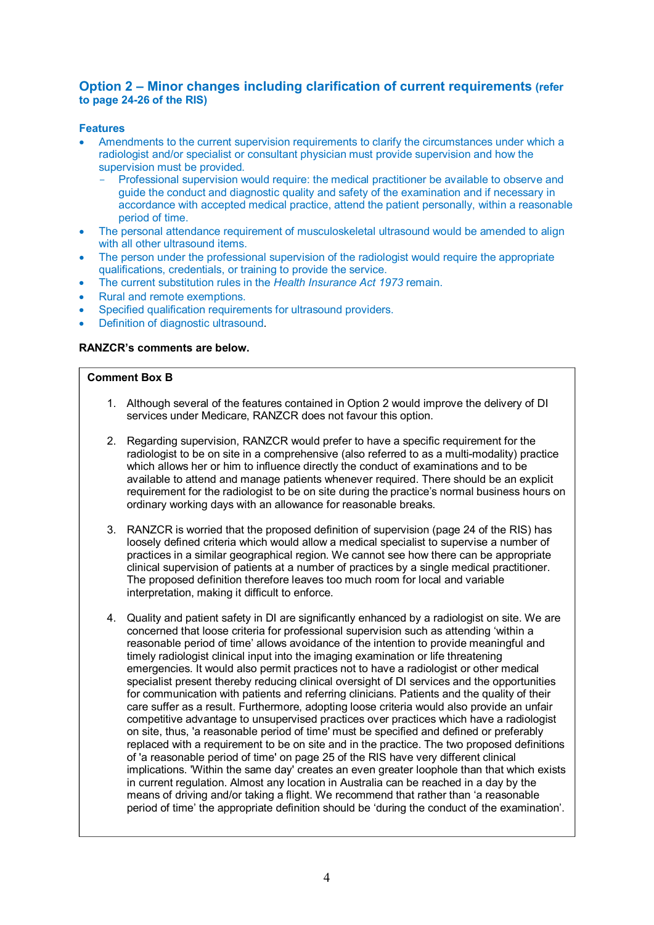## **Option 2 – Minor changes including clarification of current requirements (refer to page 24-26 of the RIS)**

## **Features**

- Amendments to the current supervision requirements to clarify the circumstances under which a radiologist and/or specialist or consultant physician must provide supervision and how the supervision must be provided.
	- Professional supervision would require: the medical practitioner be available to observe and guide the conduct and diagnostic quality and safety of the examination and if necessary in accordance with accepted medical practice, attend the patient personally, within a reasonable period of time.
- The personal attendance requirement of musculoskeletal ultrasound would be amended to align with all other ultrasound items.
- The person under the professional supervision of the radiologist would require the appropriate qualifications, credentials, or training to provide the service.
- The current substitution rules in the *Health Insurance Act 1973* remain.
- Rural and remote exemptions.
- Specified qualification requirements for ultrasound providers.
- Definition of diagnostic ultrasound.

## **RANZCR's comments are below.**

#### **Comment Box B**

- 1. Although several of the features contained in Option 2 would improve the delivery of DI services under Medicare, RANZCR does not favour this option.
- 2. Regarding supervision, RANZCR would prefer to have a specific requirement for the radiologist to be on site in a comprehensive (also referred to as a multi-modality) practice which allows her or him to influence directly the conduct of examinations and to be available to attend and manage patients whenever required. There should be an explicit requirement for the radiologist to be on site during the practice's normal business hours on ordinary working days with an allowance for reasonable breaks.
- 3. RANZCR is worried that the proposed definition of supervision (page 24 of the RIS) has loosely defined criteria which would allow a medical specialist to supervise a number of practices in a similar geographical region. We cannot see how there can be appropriate clinical supervision of patients at a number of practices by a single medical practitioner. The proposed definition therefore leaves too much room for local and variable interpretation, making it difficult to enforce.
- 4. Quality and patient safety in DI are significantly enhanced by a radiologist on site. We are concerned that loose criteria for professional supervision such as attending 'within a reasonable period of time' allows avoidance of the intention to provide meaningful and timely radiologist clinical input into the imaging examination or life threatening emergencies. It would also permit practices not to have a radiologist or other medical specialist present thereby reducing clinical oversight of DI services and the opportunities for communication with patients and referring clinicians. Patients and the quality of their care suffer as a result. Furthermore, adopting loose criteria would also provide an unfair competitive advantage to unsupervised practices over practices which have a radiologist on site, thus, 'a reasonable period of time' must be specified and defined or preferably replaced with a requirement to be on site and in the practice. The two proposed definitions of 'a reasonable period of time' on page 25 of the RIS have very different clinical implications. 'Within the same day' creates an even greater loophole than that which exists in current regulation. Almost any location in Australia can be reached in a day by the means of driving and/or taking a flight. We recommend that rather than 'a reasonable period of time' the appropriate definition should be 'during the conduct of the examination'.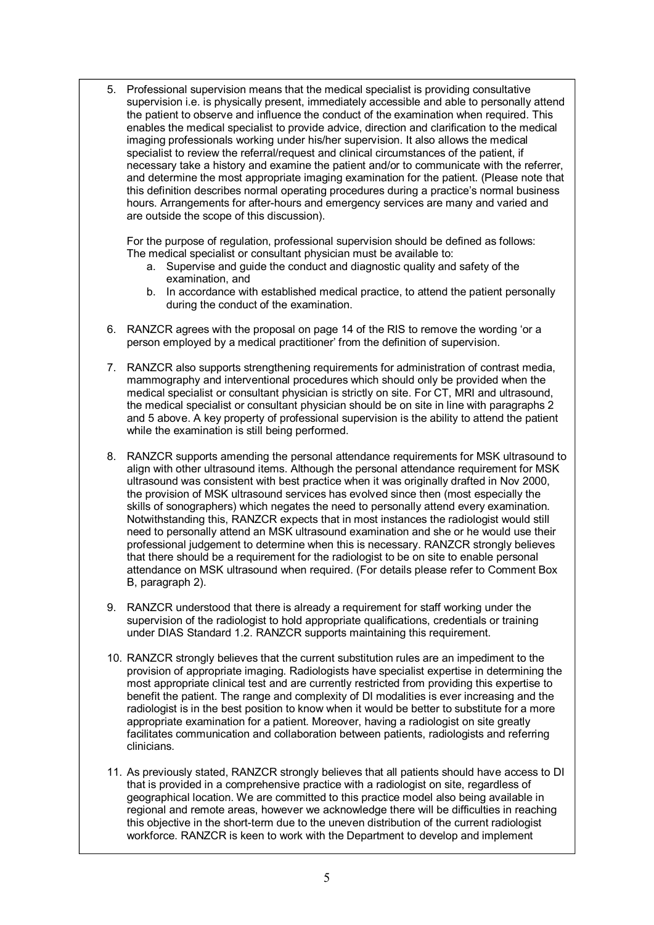5. Professional supervision means that the medical specialist is providing consultative supervision i.e. is physically present, immediately accessible and able to personally attend the patient to observe and influence the conduct of the examination when required. This enables the medical specialist to provide advice, direction and clarification to the medical imaging professionals working under his/her supervision. It also allows the medical specialist to review the referral/request and clinical circumstances of the patient, if necessary take a history and examine the patient and/or to communicate with the referrer, and determine the most appropriate imaging examination for the patient. (Please note that this definition describes normal operating procedures during a practice's normal business hours. Arrangements for after-hours and emergency services are many and varied and are outside the scope of this discussion).

For the purpose of regulation, professional supervision should be defined as follows: The medical specialist or consultant physician must be available to:

- a. Supervise and guide the conduct and diagnostic quality and safety of the examination, and
- b. In accordance with established medical practice, to attend the patient personally during the conduct of the examination.
- 6. RANZCR agrees with the proposal on page 14 of the RIS to remove the wording 'or a person employed by a medical practitioner' from the definition of supervision.
- 7. RANZCR also supports strengthening requirements for administration of contrast media, mammography and interventional procedures which should only be provided when the medical specialist or consultant physician is strictly on site. For CT, MRI and ultrasound, the medical specialist or consultant physician should be on site in line with paragraphs 2 and 5 above. A key property of professional supervision is the ability to attend the patient while the examination is still being performed.
- 8. RANZCR supports amending the personal attendance requirements for MSK ultrasound to align with other ultrasound items. Although the personal attendance requirement for MSK ultrasound was consistent with best practice when it was originally drafted in Nov 2000, the provision of MSK ultrasound services has evolved since then (most especially the skills of sonographers) which negates the need to personally attend every examination. Notwithstanding this, RANZCR expects that in most instances the radiologist would still need to personally attend an MSK ultrasound examination and she or he would use their professional judgement to determine when this is necessary. RANZCR strongly believes that there should be a requirement for the radiologist to be on site to enable personal attendance on MSK ultrasound when required. (For details please refer to Comment Box B, paragraph 2).
- 9. RANZCR understood that there is already a requirement for staff working under the supervision of the radiologist to hold appropriate qualifications, credentials or training under DIAS Standard 1.2. RANZCR supports maintaining this requirement.
- 10. RANZCR strongly believes that the current substitution rules are an impediment to the provision of appropriate imaging. Radiologists have specialist expertise in determining the most appropriate clinical test and are currently restricted from providing this expertise to benefit the patient. The range and complexity of DI modalities is ever increasing and the radiologist is in the best position to know when it would be better to substitute for a more appropriate examination for a patient. Moreover, having a radiologist on site greatly facilitates communication and collaboration between patients, radiologists and referring clinicians.
- 11. As previously stated, RANZCR strongly believes that all patients should have access to DI that is provided in a comprehensive practice with a radiologist on site, regardless of geographical location. We are committed to this practice model also being available in regional and remote areas, however we acknowledge there will be difficulties in reaching this objective in the short-term due to the uneven distribution of the current radiologist workforce. RANZCR is keen to work with the Department to develop and implement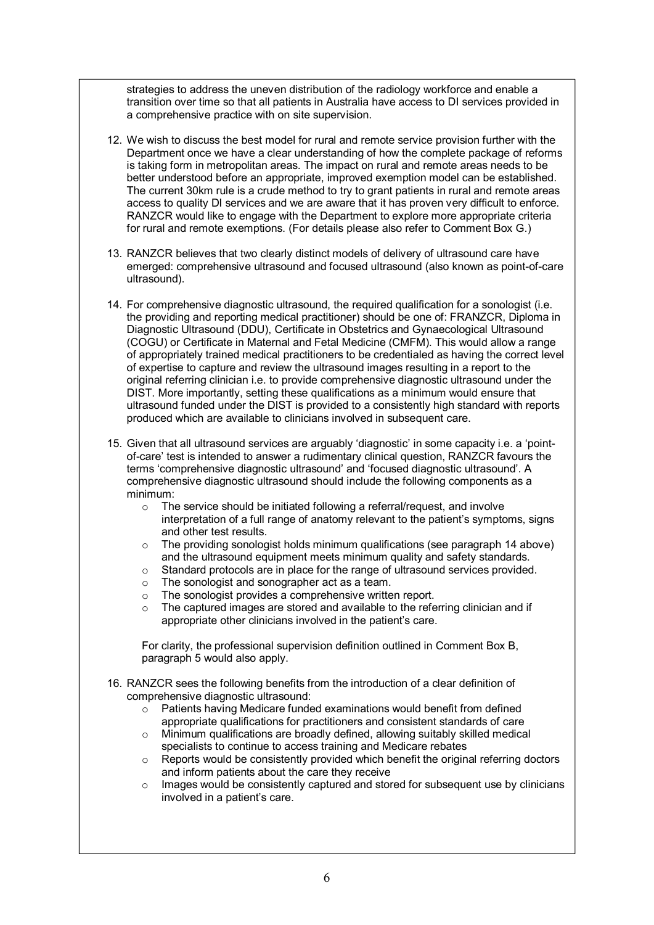strategies to address the uneven distribution of the radiology workforce and enable a transition over time so that all patients in Australia have access to DI services provided in a comprehensive practice with on site supervision.

- 12. We wish to discuss the best model for rural and remote service provision further with the Department once we have a clear understanding of how the complete package of reforms is taking form in metropolitan areas. The impact on rural and remote areas needs to be better understood before an appropriate, improved exemption model can be established. The current 30km rule is a crude method to try to grant patients in rural and remote areas access to quality DI services and we are aware that it has proven very difficult to enforce. RANZCR would like to engage with the Department to explore more appropriate criteria for rural and remote exemptions. (For details please also refer to Comment Box G.)
- 13. RANZCR believes that two clearly distinct models of delivery of ultrasound care have emerged: comprehensive ultrasound and focused ultrasound (also known as point-of-care ultrasound).
- 14. For comprehensive diagnostic ultrasound, the required qualification for a sonologist (i.e. the providing and reporting medical practitioner) should be one of: FRANZCR, Diploma in Diagnostic Ultrasound (DDU), Certificate in Obstetrics and Gynaecological Ultrasound (COGU) or Certificate in Maternal and Fetal Medicine (CMFM). This would allow a range of appropriately trained medical practitioners to be credentialed as having the correct level of expertise to capture and review the ultrasound images resulting in a report to the original referring clinician i.e. to provide comprehensive diagnostic ultrasound under the DIST. More importantly, setting these qualifications as a minimum would ensure that ultrasound funded under the DIST is provided to a consistently high standard with reports produced which are available to clinicians involved in subsequent care.
- 15. Given that all ultrasound services are arguably 'diagnostic' in some capacity i.e. a 'pointof-care' test is intended to answer a rudimentary clinical question, RANZCR favours the terms 'comprehensive diagnostic ultrasound' and 'focused diagnostic ultrasound'. A comprehensive diagnostic ultrasound should include the following components as a minimum:
	- o The service should be initiated following a referral/request, and involve interpretation of a full range of anatomy relevant to the patient's symptoms, signs and other test results.
	- $\circ$  The providing sonologist holds minimum qualifications (see paragraph 14 above) and the ultrasound equipment meets minimum quality and safety standards.
	- o Standard protocols are in place for the range of ultrasound services provided.
	- o The sonologist and sonographer act as a team.
	- o The sonologist provides a comprehensive written report.
	- The captured images are stored and available to the referring clinician and if appropriate other clinicians involved in the patient's care.

For clarity, the professional supervision definition outlined in Comment Box B, paragraph 5 would also apply.

- 16. RANZCR sees the following benefits from the introduction of a clear definition of comprehensive diagnostic ultrasound:
	- o Patients having Medicare funded examinations would benefit from defined appropriate qualifications for practitioners and consistent standards of care
	- $\circ$  Minimum qualifications are broadly defined, allowing suitably skilled medical specialists to continue to access training and Medicare rebates
	- $\circ$  Reports would be consistently provided which benefit the original referring doctors and inform patients about the care they receive
	- $\circ$  Images would be consistently captured and stored for subsequent use by clinicians involved in a patient's care.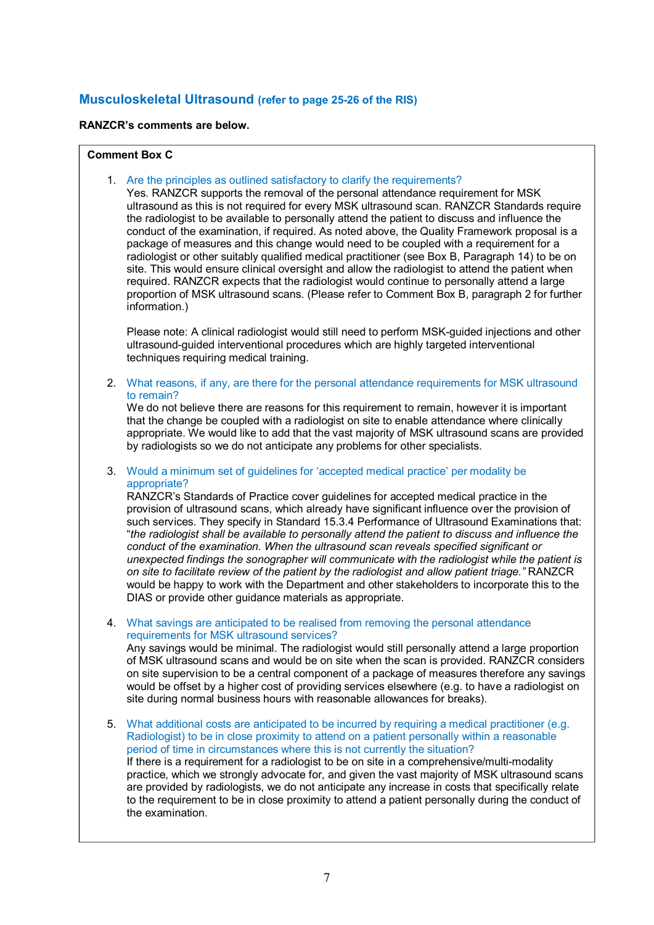## **Musculoskeletal Ultrasound (refer to page 25-26 of the RIS)**

### **RANZCR's comments are below.**

### **Comment Box C**

1. Are the principles as outlined satisfactory to clarify the requirements?

Yes. RANZCR supports the removal of the personal attendance requirement for MSK ultrasound as this is not required for every MSK ultrasound scan. RANZCR Standards require the radiologist to be available to personally attend the patient to discuss and influence the conduct of the examination, if required. As noted above, the Quality Framework proposal is a package of measures and this change would need to be coupled with a requirement for a radiologist or other suitably qualified medical practitioner (see Box B, Paragraph 14) to be on site. This would ensure clinical oversight and allow the radiologist to attend the patient when required. RANZCR expects that the radiologist would continue to personally attend a large proportion of MSK ultrasound scans. (Please refer to Comment Box B, paragraph 2 for further information.)

Please note: A clinical radiologist would still need to perform MSK-guided injections and other ultrasound-guided interventional procedures which are highly targeted interventional techniques requiring medical training.

2. What reasons, if any, are there for the personal attendance requirements for MSK ultrasound to remain?

We do not believe there are reasons for this requirement to remain, however it is important that the change be coupled with a radiologist on site to enable attendance where clinically appropriate. We would like to add that the vast majority of MSK ultrasound scans are provided by radiologists so we do not anticipate any problems for other specialists.

3. Would a minimum set of guidelines for 'accepted medical practice' per modality be appropriate?

RANZCR's Standards of Practice cover guidelines for accepted medical practice in the provision of ultrasound scans, which already have significant influence over the provision of such services. They specify in Standard 15.3.4 Performance of Ultrasound Examinations that: "*the radiologist shall be available to personally attend the patient to discuss and influence the conduct of the examination. When the ultrasound scan reveals specified significant or unexpected findings the sonographer will communicate with the radiologist while the patient is on site to facilitate review of the patient by the radiologist and allow patient triage."* RANZCR would be happy to work with the Department and other stakeholders to incorporate this to the DIAS or provide other guidance materials as appropriate.

4. What savings are anticipated to be realised from removing the personal attendance requirements for MSK ultrasound services?

Any savings would be minimal. The radiologist would still personally attend a large proportion of MSK ultrasound scans and would be on site when the scan is provided. RANZCR considers on site supervision to be a central component of a package of measures therefore any savings would be offset by a higher cost of providing services elsewhere (e.g. to have a radiologist on site during normal business hours with reasonable allowances for breaks).

5. What additional costs are anticipated to be incurred by requiring a medical practitioner (e.g. Radiologist) to be in close proximity to attend on a patient personally within a reasonable period of time in circumstances where this is not currently the situation? If there is a requirement for a radiologist to be on site in a comprehensive/multi-modality practice, which we strongly advocate for, and given the vast majority of MSK ultrasound scans are provided by radiologists, we do not anticipate any increase in costs that specifically relate to the requirement to be in close proximity to attend a patient personally during the conduct of the examination.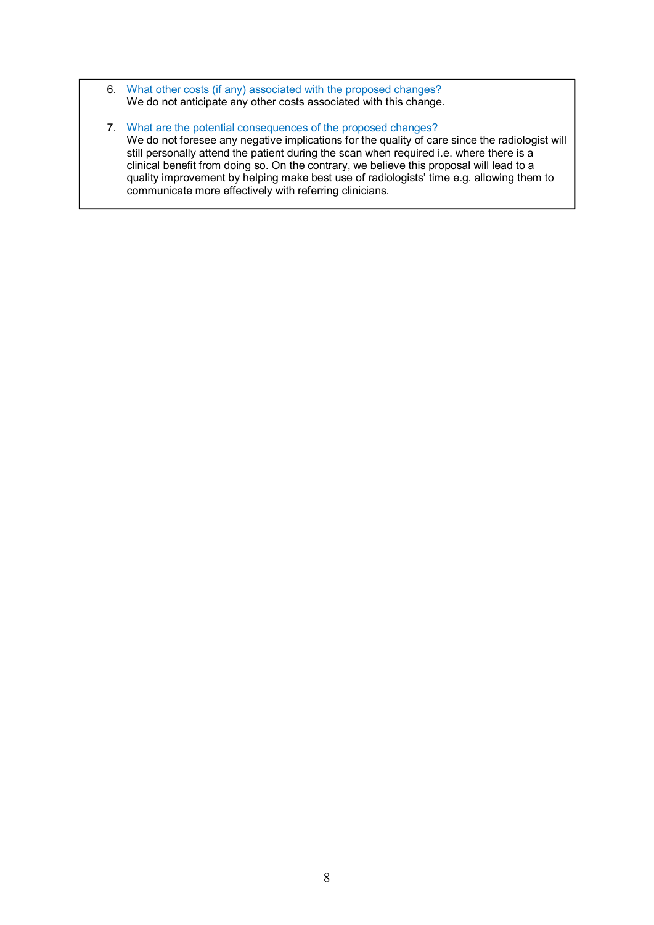- 6. What other costs (if any) associated with the proposed changes? We do not anticipate any other costs associated with this change.
- 7. What are the potential consequences of the proposed changes? We do not foresee any negative implications for the quality of care since the radiologist will still personally attend the patient during the scan when required i.e. where there is a clinical benefit from doing so. On the contrary, we believe this proposal will lead to a quality improvement by helping make best use of radiologists' time e.g. allowing them to communicate more effectively with referring clinicians.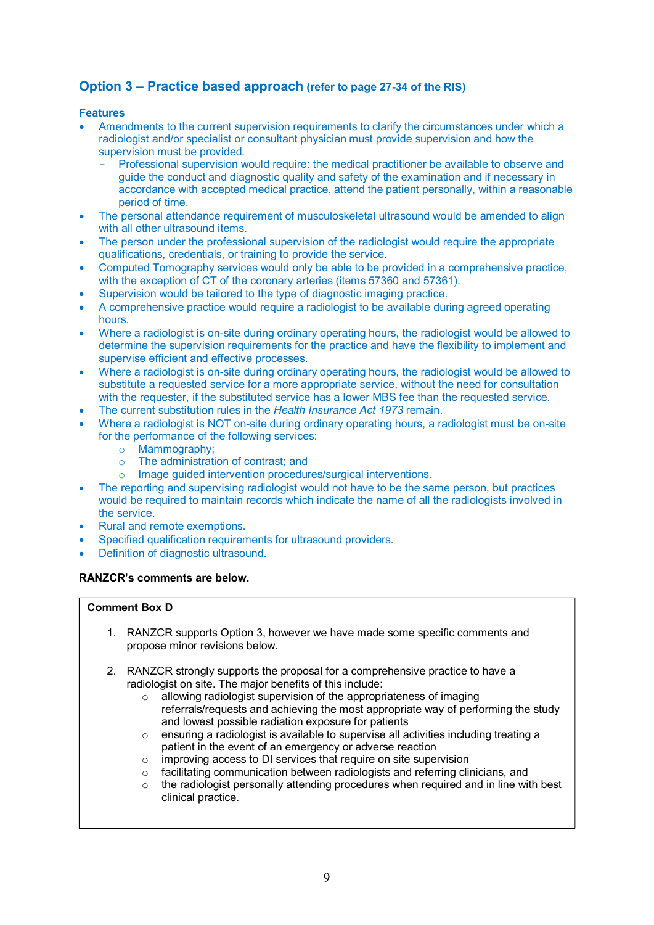## **Option 3 – Practice based approach (refer to page 27-34 of the RIS)**

## **Features**

- Amendments to the current supervision requirements to clarify the circumstances under which a radiologist and/or specialist or consultant physician must provide supervision and how the supervision must be provided.
	- Professional supervision would require: the medical practitioner be available to observe and guide the conduct and diagnostic quality and safety of the examination and if necessary in accordance with accepted medical practice, attend the patient personally, within a reasonable period of time.
- The personal attendance requirement of musculoskeletal ultrasound would be amended to align with all other ultrasound items.
- The person under the professional supervision of the radiologist would require the appropriate qualifications, credentials, or training to provide the service.
- Computed Tomography services would only be able to be provided in a comprehensive practice, with the exception of CT of the coronary arteries (items 57360 and 57361).
- Supervision would be tailored to the type of diagnostic imaging practice.
- A comprehensive practice would require a radiologist to be available during agreed operating hours.
- Where a radiologist is on-site during ordinary operating hours, the radiologist would be allowed to determine the supervision requirements for the practice and have the flexibility to implement and supervise efficient and effective processes.
- Where a radiologist is on-site during ordinary operating hours, the radiologist would be allowed to substitute a requested service for a more appropriate service, without the need for consultation with the requester, if the substituted service has a lower MBS fee than the requested service.
- The current substitution rules in the *Health Insurance Act 1973* remain.
- Where a radiologist is NOT on-site during ordinary operating hours, a radiologist must be on-site for the performance of the following services:
	- o Mammography;
	- o The administration of contrast; and
	- o Image guided intervention procedures/surgical interventions.
- The reporting and supervising radiologist would not have to be the same person, but practices would be required to maintain records which indicate the name of all the radiologists involved in the service.
- Rural and remote exemptions.
- Specified qualification requirements for ultrasound providers.
- Definition of diagnostic ultrasound.

## **RANZCR's comments are below.**

## **Comment Box D**

- 1. RANZCR supports Option 3, however we have made some specific comments and propose minor revisions below.
- 2. RANZCR strongly supports the proposal for a comprehensive practice to have a radiologist on site. The major benefits of this include:
	- $\circ$  allowing radiologist supervision of the appropriateness of imaging referrals/requests and achieving the most appropriate way of performing the study and lowest possible radiation exposure for patients
	- $\circ$  ensuring a radiologist is available to supervise all activities including treating a patient in the event of an emergency or adverse reaction
	- o improving access to DI services that require on site supervision
	- o facilitating communication between radiologists and referring clinicians, and
	- $\circ$  the radiologist personally attending procedures when required and in line with best clinical practice.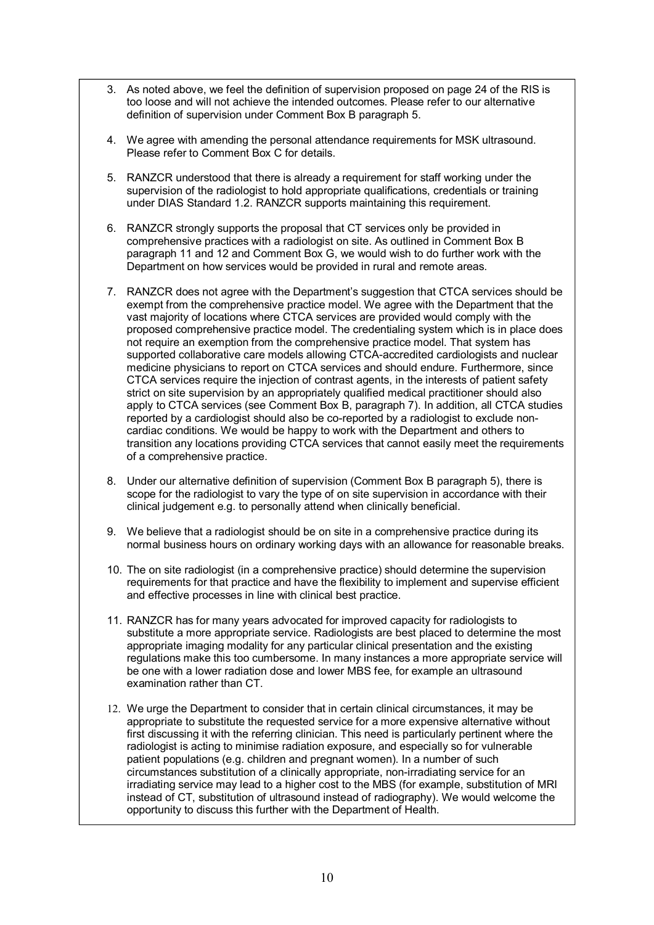- 3. As noted above, we feel the definition of supervision proposed on page 24 of the RIS is too loose and will not achieve the intended outcomes. Please refer to our alternative definition of supervision under Comment Box B paragraph 5.
- 4. We agree with amending the personal attendance requirements for MSK ultrasound. Please refer to Comment Box C for details.
- 5. RANZCR understood that there is already a requirement for staff working under the supervision of the radiologist to hold appropriate qualifications, credentials or training under DIAS Standard 1.2. RANZCR supports maintaining this requirement.
- 6. RANZCR strongly supports the proposal that CT services only be provided in comprehensive practices with a radiologist on site. As outlined in Comment Box B paragraph 11 and 12 and Comment Box G, we would wish to do further work with the Department on how services would be provided in rural and remote areas.
- 7. RANZCR does not agree with the Department's suggestion that CTCA services should be exempt from the comprehensive practice model. We agree with the Department that the vast majority of locations where CTCA services are provided would comply with the proposed comprehensive practice model. The credentialing system which is in place does not require an exemption from the comprehensive practice model. That system has supported collaborative care models allowing CTCA-accredited cardiologists and nuclear medicine physicians to report on CTCA services and should endure. Furthermore, since CTCA services require the injection of contrast agents, in the interests of patient safety strict on site supervision by an appropriately qualified medical practitioner should also apply to CTCA services (see Comment Box B, paragraph 7). In addition, all CTCA studies reported by a cardiologist should also be co-reported by a radiologist to exclude noncardiac conditions. We would be happy to work with the Department and others to transition any locations providing CTCA services that cannot easily meet the requirements of a comprehensive practice.
- 8. Under our alternative definition of supervision (Comment Box B paragraph 5), there is scope for the radiologist to vary the type of on site supervision in accordance with their clinical judgement e.g. to personally attend when clinically beneficial.
- 9. We believe that a radiologist should be on site in a comprehensive practice during its normal business hours on ordinary working days with an allowance for reasonable breaks.
- 10. The on site radiologist (in a comprehensive practice) should determine the supervision requirements for that practice and have the flexibility to implement and supervise efficient and effective processes in line with clinical best practice.
- 11. RANZCR has for many years advocated for improved capacity for radiologists to substitute a more appropriate service. Radiologists are best placed to determine the most appropriate imaging modality for any particular clinical presentation and the existing regulations make this too cumbersome. In many instances a more appropriate service will be one with a lower radiation dose and lower MBS fee, for example an ultrasound examination rather than CT.
- 12. We urge the Department to consider that in certain clinical circumstances, it may be appropriate to substitute the requested service for a more expensive alternative without first discussing it with the referring clinician. This need is particularly pertinent where the radiologist is acting to minimise radiation exposure, and especially so for vulnerable patient populations (e.g. children and pregnant women). In a number of such circumstances substitution of a clinically appropriate, non-irradiating service for an irradiating service may lead to a higher cost to the MBS (for example, substitution of MRI instead of CT, substitution of ultrasound instead of radiography). We would welcome the opportunity to discuss this further with the Department of Health.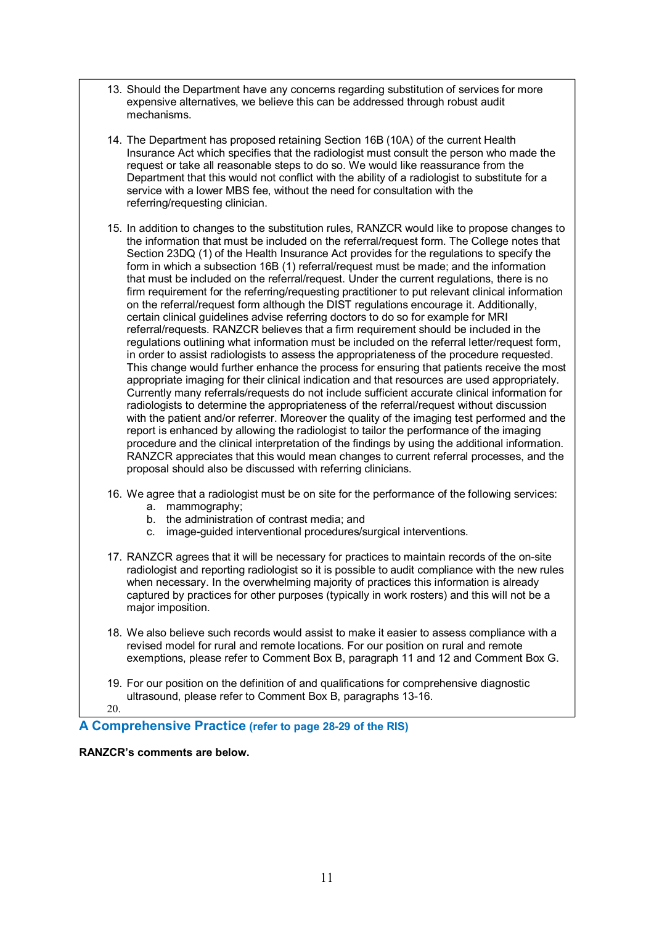- 13. Should the Department have any concerns regarding substitution of services for more expensive alternatives, we believe this can be addressed through robust audit mechanisms.
- 14. The Department has proposed retaining Section 16B (10A) of the current Health Insurance Act which specifies that the radiologist must consult the person who made the request or take all reasonable steps to do so. We would like reassurance from the Department that this would not conflict with the ability of a radiologist to substitute for a service with a lower MBS fee, without the need for consultation with the referring/requesting clinician.
- 15. In addition to changes to the substitution rules, RANZCR would like to propose changes to the information that must be included on the referral/request form. The College notes that Section 23DQ (1) of the Health Insurance Act provides for the regulations to specify the form in which a subsection 16B (1) referral/request must be made; and the information that must be included on the referral/request. Under the current regulations, there is no firm requirement for the referring/requesting practitioner to put relevant clinical information on the referral/request form although the DIST regulations encourage it. Additionally, certain clinical guidelines advise referring doctors to do so for example for MRI referral/requests. RANZCR believes that a firm requirement should be included in the regulations outlining what information must be included on the referral letter/request form, in order to assist radiologists to assess the appropriateness of the procedure requested. This change would further enhance the process for ensuring that patients receive the most appropriate imaging for their clinical indication and that resources are used appropriately. Currently many referrals/requests do not include sufficient accurate clinical information for radiologists to determine the appropriateness of the referral/request without discussion with the patient and/or referrer. Moreover the quality of the imaging test performed and the report is enhanced by allowing the radiologist to tailor the performance of the imaging procedure and the clinical interpretation of the findings by using the additional information. RANZCR appreciates that this would mean changes to current referral processes, and the proposal should also be discussed with referring clinicians.
- 16. We agree that a radiologist must be on site for the performance of the following services:
	- a. mammography;
	- b. the administration of contrast media; and
	- c. image-guided interventional procedures/surgical interventions.
- 17. RANZCR agrees that it will be necessary for practices to maintain records of the on-site radiologist and reporting radiologist so it is possible to audit compliance with the new rules when necessary. In the overwhelming majority of practices this information is already captured by practices for other purposes (typically in work rosters) and this will not be a major imposition.
- 18. We also believe such records would assist to make it easier to assess compliance with a revised model for rural and remote locations. For our position on rural and remote exemptions, please refer to Comment Box B, paragraph 11 and 12 and Comment Box G.
- 19. For our position on the definition of and qualifications for comprehensive diagnostic ultrasound, please refer to Comment Box B, paragraphs 13-16.
- 20.

**A Comprehensive Practice (refer to page 28-29 of the RIS)** 

**RANZCR's comments are below.**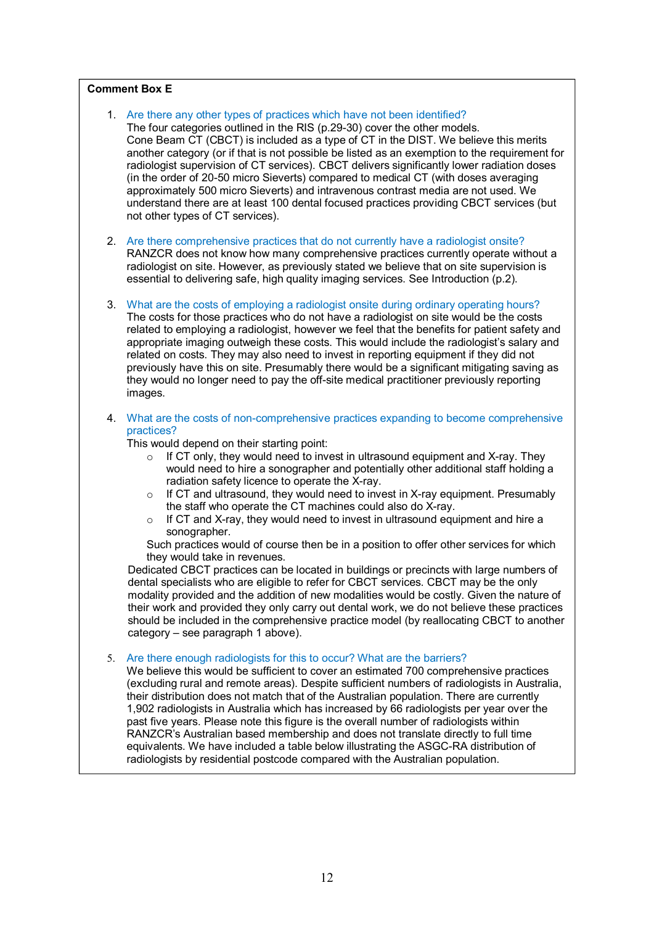#### **Comment Box E**

- 1. Are there any other types of practices which have not been identified? The four categories outlined in the RIS (p.29-30) cover the other models. Cone Beam CT (CBCT) is included as a type of CT in the DIST. We believe this merits another category (or if that is not possible be listed as an exemption to the requirement for radiologist supervision of CT services). CBCT delivers significantly lower radiation doses (in the order of 20-50 micro Sieverts) compared to medical CT (with doses averaging approximately 500 micro Sieverts) and intravenous contrast media are not used. We understand there are at least 100 dental focused practices providing CBCT services (but not other types of CT services).
- 2. Are there comprehensive practices that do not currently have a radiologist onsite? RANZCR does not know how many comprehensive practices currently operate without a radiologist on site. However, as previously stated we believe that on site supervision is essential to delivering safe, high quality imaging services. See Introduction (p.2).
- 3. What are the costs of employing a radiologist onsite during ordinary operating hours? The costs for those practices who do not have a radiologist on site would be the costs related to employing a radiologist, however we feel that the benefits for patient safety and appropriate imaging outweigh these costs. This would include the radiologist's salary and related on costs. They may also need to invest in reporting equipment if they did not previously have this on site. Presumably there would be a significant mitigating saving as they would no longer need to pay the off-site medical practitioner previously reporting images.
- 4. What are the costs of non-comprehensive practices expanding to become comprehensive practices?

This would depend on their starting point:

- $\circ$  If CT only, they would need to invest in ultrasound equipment and X-ray. They would need to hire a sonographer and potentially other additional staff holding a radiation safety licence to operate the X-ray.
- o If CT and ultrasound, they would need to invest in X-ray equipment. Presumably the staff who operate the CT machines could also do X-ray.
- o If CT and X-ray, they would need to invest in ultrasound equipment and hire a sonographer.

Such practices would of course then be in a position to offer other services for which they would take in revenues.

Dedicated CBCT practices can be located in buildings or precincts with large numbers of dental specialists who are eligible to refer for CBCT services. CBCT may be the only modality provided and the addition of new modalities would be costly. Given the nature of their work and provided they only carry out dental work, we do not believe these practices should be included in the comprehensive practice model (by reallocating CBCT to another category – see paragraph 1 above).

5. Are there enough radiologists for this to occur? What are the barriers?

We believe this would be sufficient to cover an estimated 700 comprehensive practices (excluding rural and remote areas). Despite sufficient numbers of radiologists in Australia, their distribution does not match that of the Australian population. There are currently 1,902 radiologists in Australia which has increased by 66 radiologists per year over the past five years. Please note this figure is the overall number of radiologists within RANZCR's Australian based membership and does not translate directly to full time equivalents. We have included a table below illustrating the ASGC-RA distribution of radiologists by residential postcode compared with the Australian population.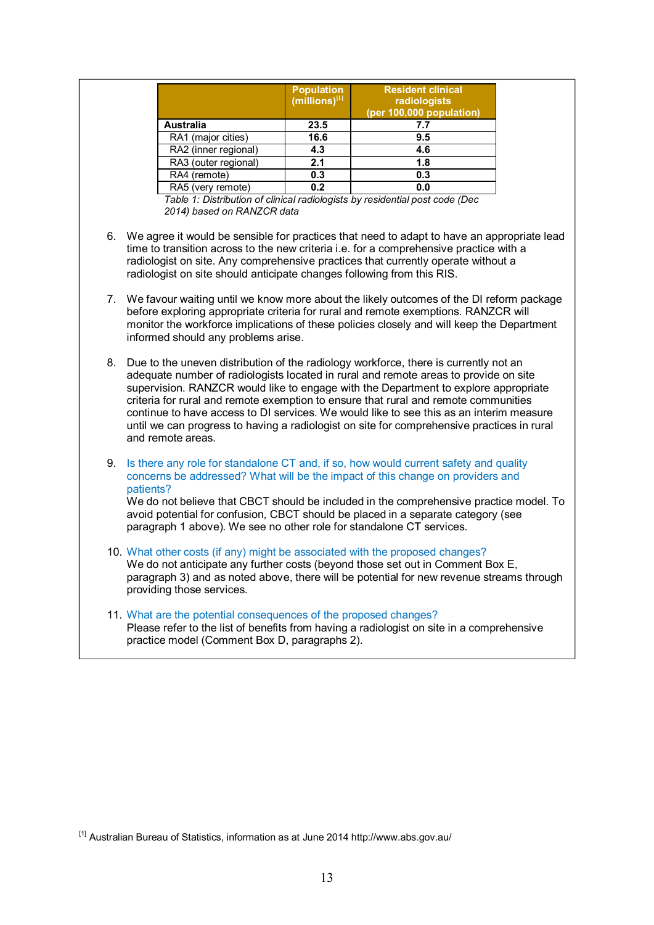|                      | <b>Population</b><br>$(millions)^{[1]}$ | <b>Resident clinical</b><br>radiologists<br>(per 100,000 population) |
|----------------------|-----------------------------------------|----------------------------------------------------------------------|
| <b>Australia</b>     | 23.5                                    | 7.7                                                                  |
| RA1 (major cities)   | 16.6                                    | 9.5                                                                  |
| RA2 (inner regional) | 4.3                                     | 4.6                                                                  |
| RA3 (outer regional) | 2.1                                     | 1.8                                                                  |
| RA4 (remote)         | 0.3                                     | 0.3                                                                  |
| RA5 (very remote)    | 0.2                                     | 0.0                                                                  |

*Table 1: Distribution of clinical radiologists by residential post code (Dec 2014) based on RANZCR data* 

- 6. We agree it would be sensible for practices that need to adapt to have an appropriate lead time to transition across to the new criteria i.e. for a comprehensive practice with a radiologist on site. Any comprehensive practices that currently operate without a radiologist on site should anticipate changes following from this RIS.
- 7. We favour waiting until we know more about the likely outcomes of the DI reform package before exploring appropriate criteria for rural and remote exemptions. RANZCR will monitor the workforce implications of these policies closely and will keep the Department informed should any problems arise.
- 8. Due to the uneven distribution of the radiology workforce, there is currently not an adequate number of radiologists located in rural and remote areas to provide on site supervision. RANZCR would like to engage with the Department to explore appropriate criteria for rural and remote exemption to ensure that rural and remote communities continue to have access to DI services. We would like to see this as an interim measure until we can progress to having a radiologist on site for comprehensive practices in rural and remote areas.
- 9. Is there any role for standalone CT and, if so, how would current safety and quality concerns be addressed? What will be the impact of this change on providers and patients?

We do not believe that CBCT should be included in the comprehensive practice model. To avoid potential for confusion, CBCT should be placed in a separate category (see paragraph 1 above). We see no other role for standalone CT services.

- 10. What other costs (if any) might be associated with the proposed changes? We do not anticipate any further costs (beyond those set out in Comment Box E. paragraph 3) and as noted above, there will be potential for new revenue streams through providing those services.
- 11. What are the potential consequences of the proposed changes? Please refer to the list of benefits from having a radiologist on site in a comprehensive practice model (Comment Box D, paragraphs 2).

[1] Australian Bureau of Statistics, information as at June 2014 http://www.abs.gov.au/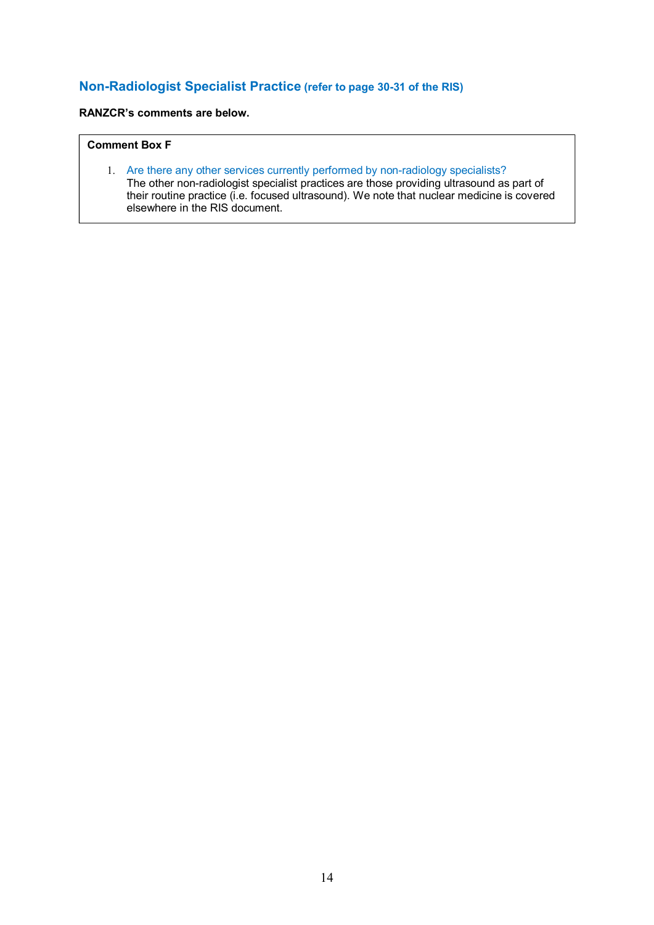## **Non-Radiologist Specialist Practice (refer to page 30-31 of the RIS)**

## **RANZCR's comments are below.**

## **Comment Box F**

1. Are there any other services currently performed by non-radiology specialists? The other non-radiologist specialist practices are those providing ultrasound as part of their routine practice (i.e. focused ultrasound). We note that nuclear medicine is covered elsewhere in the RIS document.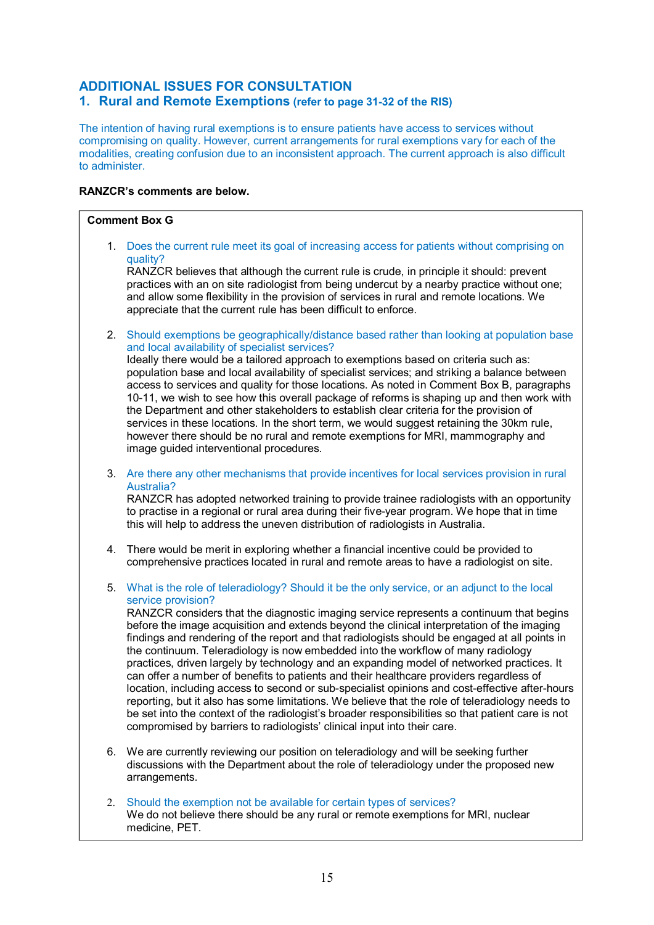## **ADDITIONAL ISSUES FOR CONSULTATION**

## **1. Rural and Remote Exemptions (refer to page 31-32 of the RIS)**

The intention of having rural exemptions is to ensure patients have access to services without compromising on quality. However, current arrangements for rural exemptions vary for each of the modalities, creating confusion due to an inconsistent approach. The current approach is also difficult to administer.

## **RANZCR's comments are below.**

#### **Comment Box G**

1. Does the current rule meet its goal of increasing access for patients without comprising on quality?

RANZCR believes that although the current rule is crude, in principle it should: prevent practices with an on site radiologist from being undercut by a nearby practice without one; and allow some flexibility in the provision of services in rural and remote locations. We appreciate that the current rule has been difficult to enforce.

2. Should exemptions be geographically/distance based rather than looking at population base and local availability of specialist services?

Ideally there would be a tailored approach to exemptions based on criteria such as: population base and local availability of specialist services; and striking a balance between access to services and quality for those locations. As noted in Comment Box B, paragraphs 10-11, we wish to see how this overall package of reforms is shaping up and then work with the Department and other stakeholders to establish clear criteria for the provision of services in these locations. In the short term, we would suggest retaining the 30km rule, however there should be no rural and remote exemptions for MRI, mammography and image guided interventional procedures.

3. Are there any other mechanisms that provide incentives for local services provision in rural Australia?

RANZCR has adopted networked training to provide trainee radiologists with an opportunity to practise in a regional or rural area during their five-year program. We hope that in time this will help to address the uneven distribution of radiologists in Australia.

- 4. There would be merit in exploring whether a financial incentive could be provided to comprehensive practices located in rural and remote areas to have a radiologist on site.
- 5. What is the role of teleradiology? Should it be the only service, or an adjunct to the local service provision?

RANZCR considers that the diagnostic imaging service represents a continuum that begins before the image acquisition and extends beyond the clinical interpretation of the imaging findings and rendering of the report and that radiologists should be engaged at all points in the continuum. Teleradiology is now embedded into the workflow of many radiology practices, driven largely by technology and an expanding model of networked practices. It can offer a number of benefits to patients and their healthcare providers regardless of location, including access to second or sub-specialist opinions and cost-effective after-hours reporting, but it also has some limitations. We believe that the role of teleradiology needs to be set into the context of the radiologist's broader responsibilities so that patient care is not compromised by barriers to radiologists' clinical input into their care.

- 6. We are currently reviewing our position on teleradiology and will be seeking further discussions with the Department about the role of teleradiology under the proposed new arrangements.
- 2. Should the exemption not be available for certain types of services? We do not believe there should be any rural or remote exemptions for MRI, nuclear medicine, PET.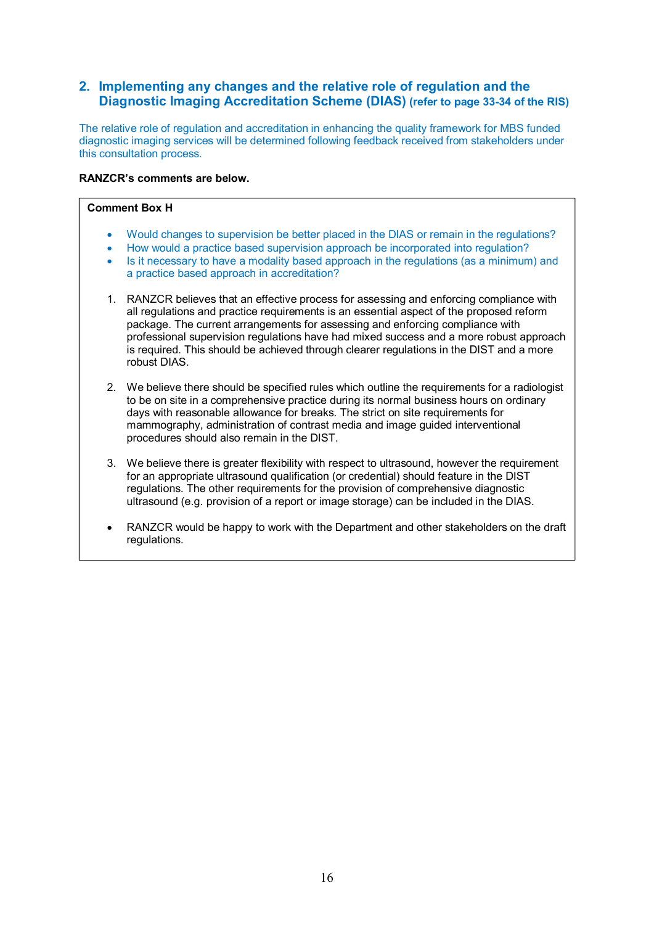## **2. Implementing any changes and the relative role of regulation and the Diagnostic Imaging Accreditation Scheme (DIAS) (refer to page 33-34 of the RIS)**

The relative role of regulation and accreditation in enhancing the quality framework for MBS funded diagnostic imaging services will be determined following feedback received from stakeholders under this consultation process.

### **RANZCR's comments are below.**

#### **Comment Box H**

- Would changes to supervision be better placed in the DIAS or remain in the regulations?
- How would a practice based supervision approach be incorporated into regulation?
- Is it necessary to have a modality based approach in the regulations (as a minimum) and a practice based approach in accreditation?
- 1. RANZCR believes that an effective process for assessing and enforcing compliance with all regulations and practice requirements is an essential aspect of the proposed reform package. The current arrangements for assessing and enforcing compliance with professional supervision regulations have had mixed success and a more robust approach is required. This should be achieved through clearer regulations in the DIST and a more robust DIAS.
- 2. We believe there should be specified rules which outline the requirements for a radiologist to be on site in a comprehensive practice during its normal business hours on ordinary days with reasonable allowance for breaks. The strict on site requirements for mammography, administration of contrast media and image guided interventional procedures should also remain in the DIST.
- 3. We believe there is greater flexibility with respect to ultrasound, however the requirement for an appropriate ultrasound qualification (or credential) should feature in the DIST regulations. The other requirements for the provision of comprehensive diagnostic ultrasound (e.g. provision of a report or image storage) can be included in the DIAS.
- RANZCR would be happy to work with the Department and other stakeholders on the draft regulations.